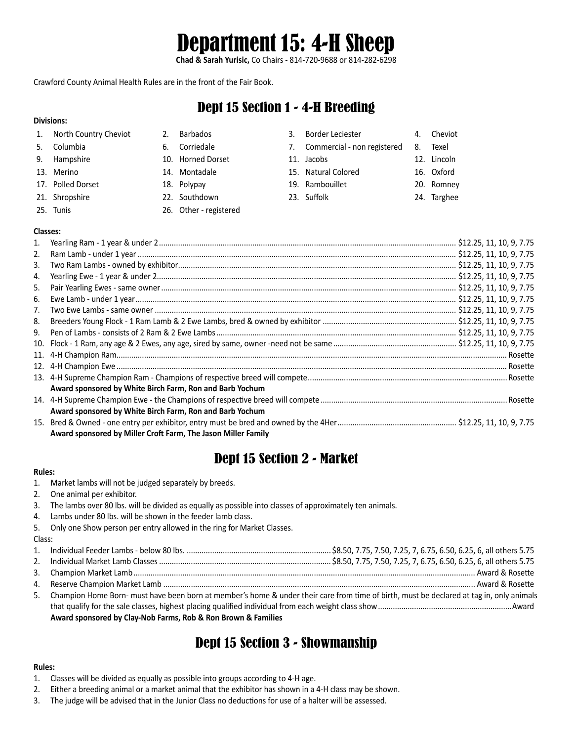# Department 15: 4-H Sheep

**Chad & Sarah Yurisic,** Co Chairs - 814-720-9688 or 814-282-6298

Crawford County Animal Health Rules are in the front of the Fair Book.

### Dept 15 Section 1 - 4-H Breeding

### **Divisions:**

**Classes:**

1. North Country Cheviot 2. Barbados 3. Border Leciester 4. Cheviot 5. Columbia 6. Corriedale 7. Commercial - non registered 8. Texel 9. Hampshire **10. Horned Dorset** 11. Jacobs 12. Lincoln 13. Merino 14. Montadale 15. Natural Colored 16. Oxford 17. Polled Dorset 18. Polypay 19. Rambouillet 20. Romney 21. Shropshire 22. Southdown 23. Suffolk 24. Targhee 25. Tunis 26. Other - registered

| 1. |                                                               |  |
|----|---------------------------------------------------------------|--|
| 2. |                                                               |  |
| 3. |                                                               |  |
| 4. |                                                               |  |
| 5. |                                                               |  |
| 6. |                                                               |  |
| 7. |                                                               |  |
| 8. |                                                               |  |
| 9. |                                                               |  |
|    |                                                               |  |
|    |                                                               |  |
|    |                                                               |  |
|    |                                                               |  |
|    | Award sponsored by White Birch Farm, Ron and Barb Yochum      |  |
|    |                                                               |  |
|    | Award sponsored by White Birch Farm, Ron and Barb Yochum      |  |
|    |                                                               |  |
|    | Award sponsored by Miller Croft Farm, The Jason Miller Family |  |

# Dept 15 Section 2 - Market

#### **Rules:**

- 1. Market lambs will not be judged separately by breeds.
- 2. One animal per exhibitor.
- 3. The lambs over 80 lbs. will be divided as equally as possible into classes of approximately ten animals.
- 4. Lambs under 80 lbs. will be shown in the feeder lamb class.
- 5. Only one Show person per entry allowed in the ring for Market Classes.

#### Class:

| 5. Champion Home Born- must have been born at member's home & under their care from time of birth, must be declared at tag in, only animals |  |  |
|---------------------------------------------------------------------------------------------------------------------------------------------|--|--|
|                                                                                                                                             |  |  |
| Award sponsored by Clay-Nob Farms, Rob & Ron Brown & Families                                                                               |  |  |

# Dept 15 Section 3 - Showmanship

### **Rules:**

- 1. Classes will be divided as equally as possible into groups according to 4-H age.
- 2. Either a breeding animal or a market animal that the exhibitor has shown in a 4-H class may be shown.
- 3. The judge will be advised that in the Junior Class no deductions for use of a halter will be assessed.